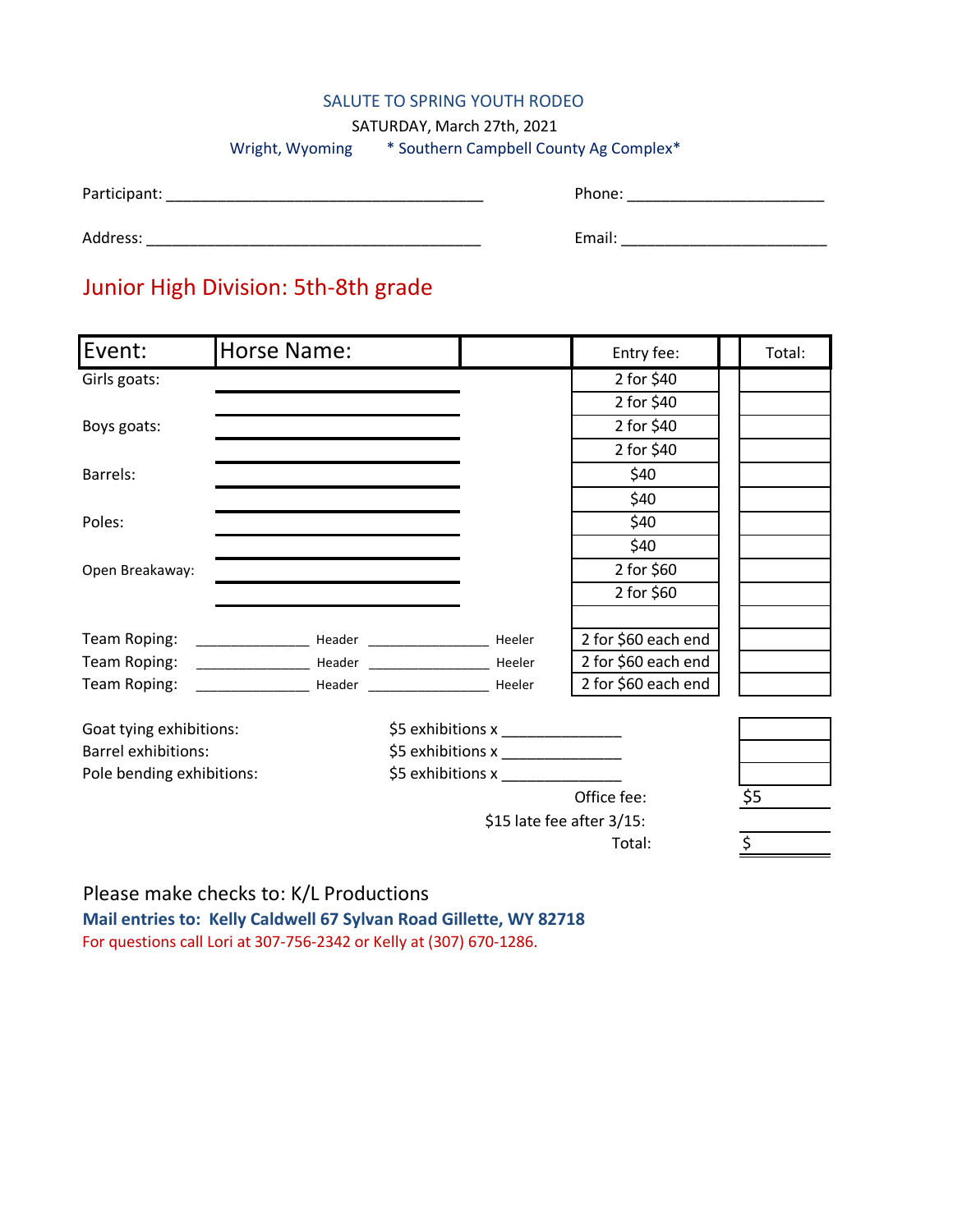#### SALUTE TO SPRING YOUTH RODEO

SATURDAY, March 27th, 2021

### Wright, Wyoming \* Southern Campbell County Ag Complex\*

| Participant: |  |
|--------------|--|
|              |  |

Participant: \_\_\_\_\_\_\_\_\_\_\_\_\_\_\_\_\_\_\_\_\_\_\_\_\_\_\_\_\_\_\_\_\_\_\_\_\_ Phone: \_\_\_\_\_\_\_\_\_\_\_\_\_\_\_\_\_\_\_\_\_\_\_

| Address: |  |
|----------|--|
|          |  |

Address: \_\_\_\_\_\_\_\_\_\_\_\_\_\_\_\_\_\_\_\_\_\_\_\_\_\_\_\_\_\_\_\_\_\_\_\_\_\_\_ Email: \_\_\_\_\_\_\_\_\_\_\_\_\_\_\_\_\_\_\_\_\_\_\_\_

## Junior High Division: 5th-8th grade

| Event:                     | <b>Horse Name:</b> |                                      | Entry fee:          | Total: |  |
|----------------------------|--------------------|--------------------------------------|---------------------|--------|--|
| Girls goats:               |                    |                                      | 2 for \$40          |        |  |
|                            |                    |                                      | 2 for \$40          |        |  |
| Boys goats:                |                    |                                      | 2 for \$40          |        |  |
|                            |                    |                                      | 2 for \$40          |        |  |
| Barrels:                   |                    |                                      | \$40                |        |  |
|                            |                    |                                      | \$40                |        |  |
| Poles:                     |                    |                                      | \$40                |        |  |
|                            |                    |                                      | \$40                |        |  |
| Open Breakaway:            |                    |                                      | 2 for \$60          |        |  |
|                            |                    |                                      | 2 for \$60          |        |  |
| Team Roping:               |                    |                                      | 2 for \$60 each end |        |  |
|                            |                    |                                      | 2 for \$60 each end |        |  |
|                            |                    |                                      | 2 for \$60 each end |        |  |
| Goat tying exhibitions:    |                    | \$5 exhibitions x ________________   |                     |        |  |
| <b>Barrel exhibitions:</b> |                    | \$5 exhibitions x __________________ |                     |        |  |
| Pole bending exhibitions:  |                    | \$5 exhibitions $x$ ___________      |                     |        |  |
|                            |                    |                                      | Office fee:         | \$5    |  |
|                            |                    | \$15 late fee after 3/15:            |                     |        |  |

Total:  $\frac{1}{5}$ 

Please make checks to: K/L Productions **Mail entries to: Kelly Caldwell 67 Sylvan Road Gillette, WY 82718** For questions call Lori at 307-756-2342 or Kelly at (307) 670-1286.